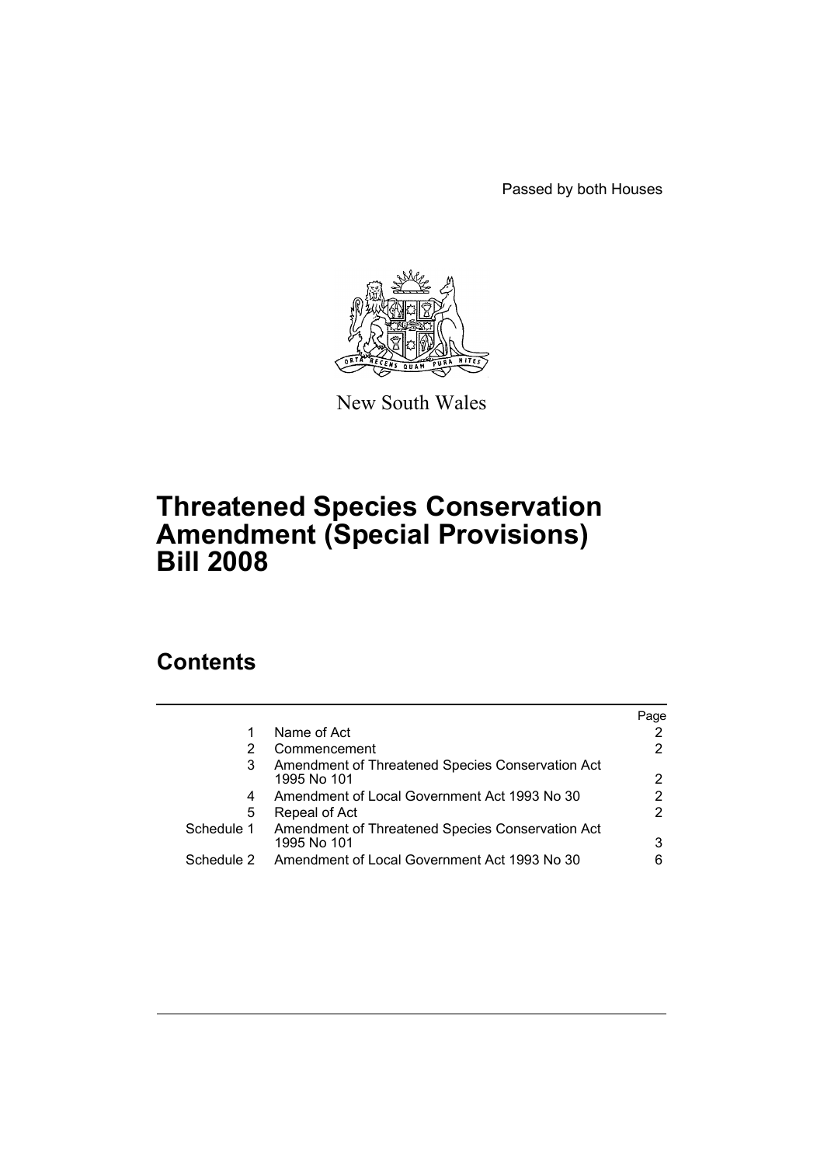Passed by both Houses



New South Wales

# **Threatened Species Conservation Amendment (Special Provisions) Bill 2008**

# **Contents**

|            |                                                                 | Page |
|------------|-----------------------------------------------------------------|------|
|            | Name of Act                                                     |      |
| 2          | Commencement                                                    |      |
| 3          | Amendment of Threatened Species Conservation Act<br>1995 No 101 | 2    |
| 4          | Amendment of Local Government Act 1993 No 30                    |      |
| 5          | Repeal of Act                                                   |      |
| Schedule 1 | Amendment of Threatened Species Conservation Act<br>1995 No 101 | 3    |
| Schedule 2 | Amendment of Local Government Act 1993 No 30                    | 6    |
|            |                                                                 |      |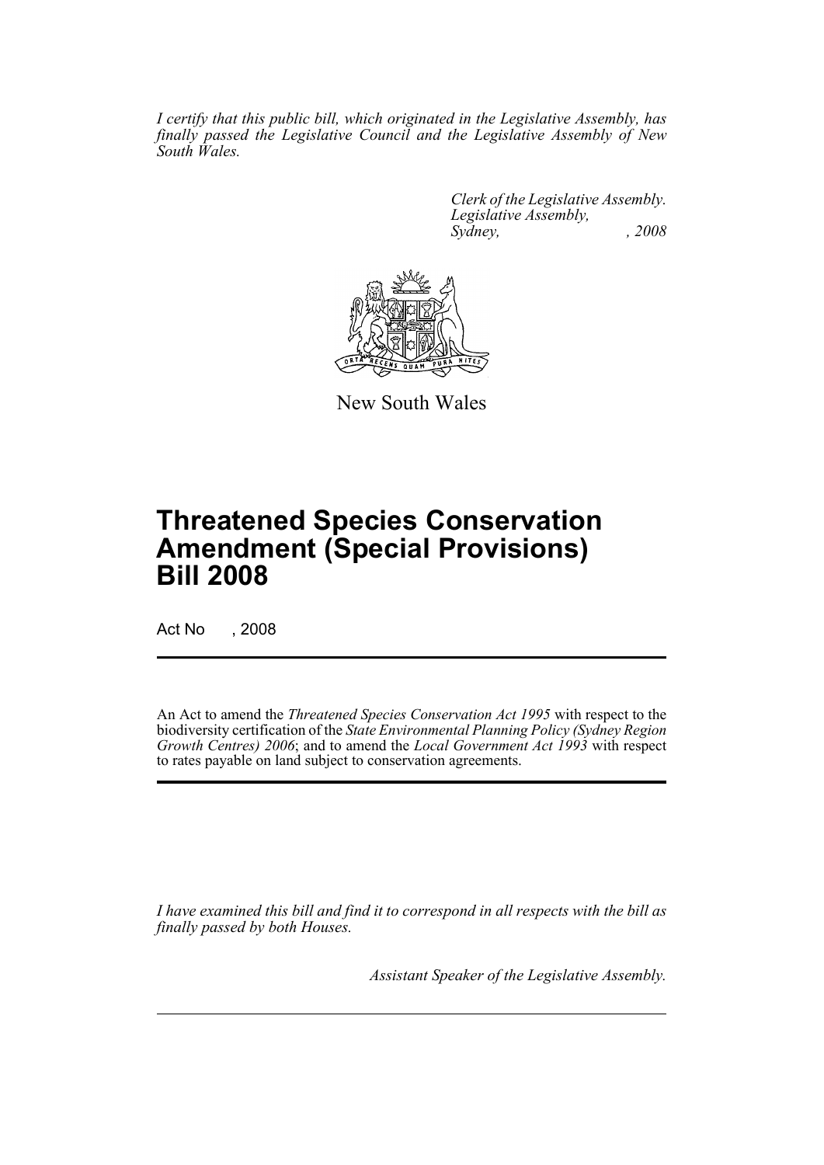*I certify that this public bill, which originated in the Legislative Assembly, has finally passed the Legislative Council and the Legislative Assembly of New South Wales.*

> *Clerk of the Legislative Assembly. Legislative Assembly, Sydney, , 2008*



New South Wales

# **Threatened Species Conservation Amendment (Special Provisions) Bill 2008**

Act No , 2008

An Act to amend the *Threatened Species Conservation Act 1995* with respect to the biodiversity certification of the *State Environmental Planning Policy (Sydney Region Growth Centres) 2006*; and to amend the *Local Government Act 1993* with respect to rates payable on land subject to conservation agreements.

*I have examined this bill and find it to correspond in all respects with the bill as finally passed by both Houses.*

*Assistant Speaker of the Legislative Assembly.*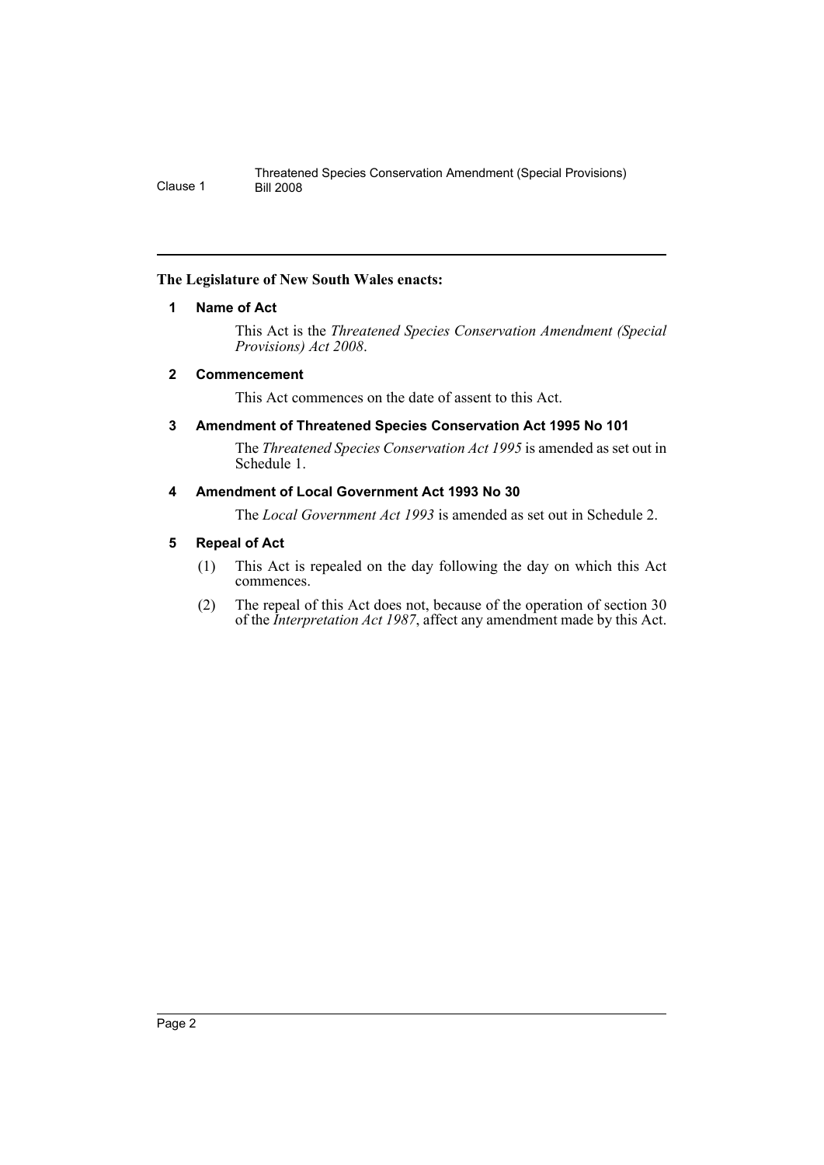### <span id="page-2-0"></span>**The Legislature of New South Wales enacts:**

## **1 Name of Act**

This Act is the *Threatened Species Conservation Amendment (Special Provisions) Act 2008*.

## <span id="page-2-1"></span>**2 Commencement**

This Act commences on the date of assent to this Act.

# <span id="page-2-2"></span>**3 Amendment of Threatened Species Conservation Act 1995 No 101**

The *Threatened Species Conservation Act 1995* is amended as set out in Schedule 1.

# <span id="page-2-3"></span>**4 Amendment of Local Government Act 1993 No 30**

The *Local Government Act 1993* is amended as set out in Schedule 2.

## <span id="page-2-4"></span>**5 Repeal of Act**

- (1) This Act is repealed on the day following the day on which this Act commences.
- (2) The repeal of this Act does not, because of the operation of section 30 of the *Interpretation Act 1987*, affect any amendment made by this Act.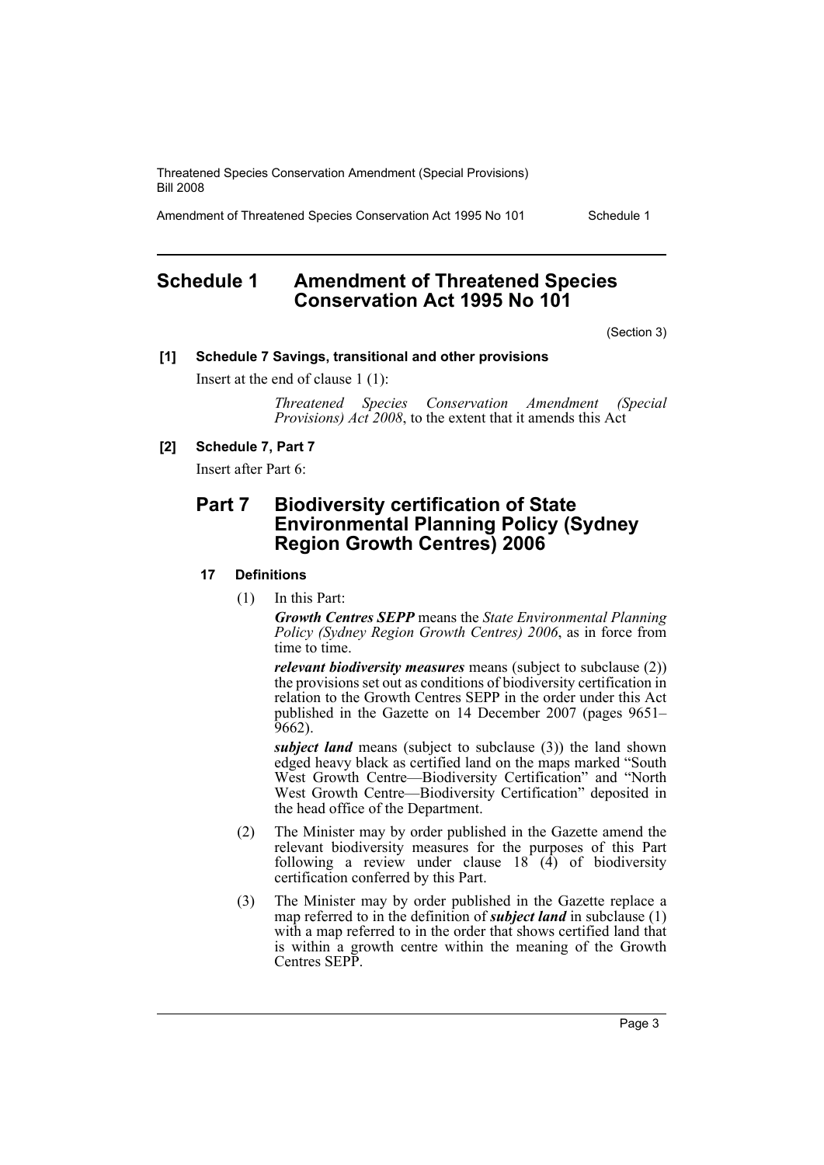Amendment of Threatened Species Conservation Act 1995 No 101 Schedule 1

# <span id="page-3-0"></span>**Schedule 1 Amendment of Threatened Species Conservation Act 1995 No 101**

(Section 3)

### **[1] Schedule 7 Savings, transitional and other provisions**

Insert at the end of clause 1 (1):

*Threatened Species Conservation Amendment (Special Provisions) Act 2008*, to the extent that it amends this Act

## **[2] Schedule 7, Part 7**

Insert after Part 6:

# **Part 7 Biodiversity certification of State Environmental Planning Policy (Sydney Region Growth Centres) 2006**

### **17 Definitions**

(1) In this Part:

*Growth Centres SEPP* means the *State Environmental Planning Policy (Sydney Region Growth Centres) 2006*, as in force from time to time.

*relevant biodiversity measures* means (subject to subclause (2)) the provisions set out as conditions of biodiversity certification in relation to the Growth Centres SEPP in the order under this Act published in the Gazette on 14 December 2007 (pages 9651– 9662).

*subject land* means (subject to subclause (3)) the land shown edged heavy black as certified land on the maps marked "South West Growth Centre—Biodiversity Certification" and "North West Growth Centre—Biodiversity Certification" deposited in the head office of the Department.

- (2) The Minister may by order published in the Gazette amend the relevant biodiversity measures for the purposes of this Part following a review under clause  $18 \hat{ }$  (4) of biodiversity certification conferred by this Part.
- (3) The Minister may by order published in the Gazette replace a map referred to in the definition of *subject land* in subclause (1) with a map referred to in the order that shows certified land that is within a growth centre within the meaning of the Growth Centres SEPP.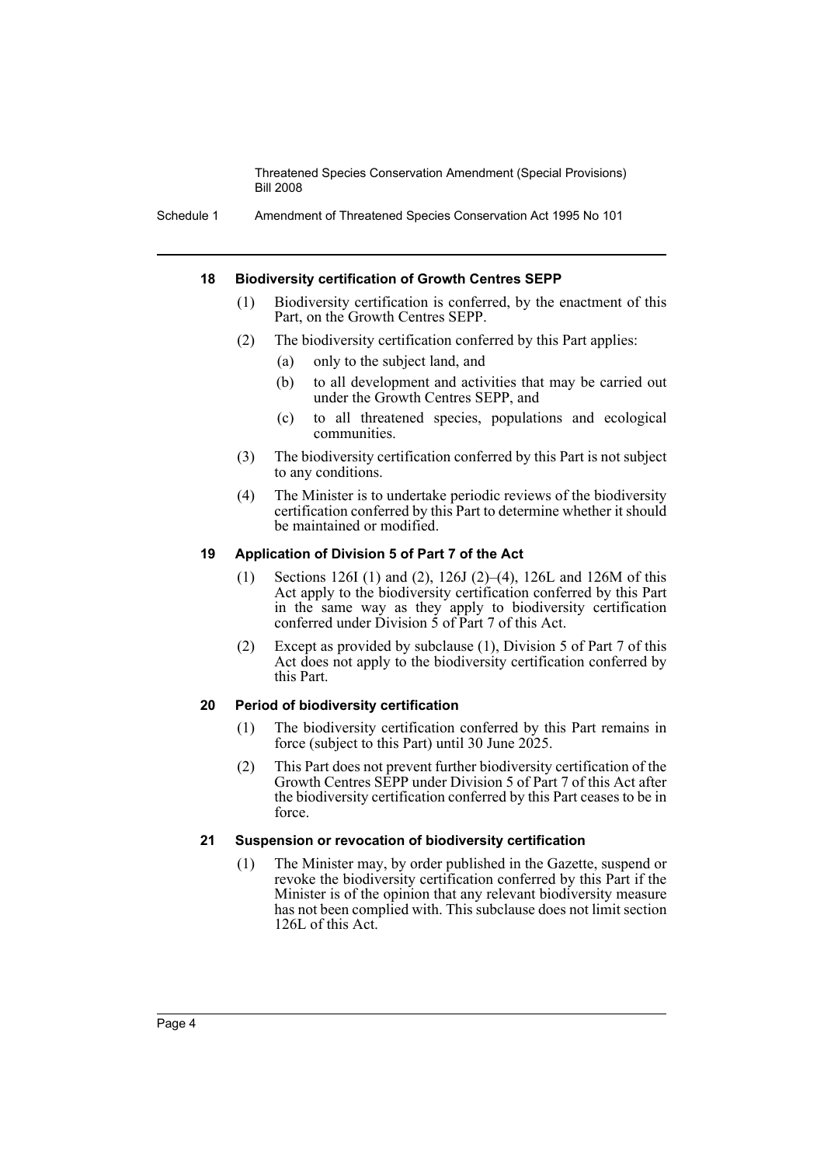Schedule 1 Amendment of Threatened Species Conservation Act 1995 No 101

### **18 Biodiversity certification of Growth Centres SEPP**

- (1) Biodiversity certification is conferred, by the enactment of this Part, on the Growth Centres SEPP.
- (2) The biodiversity certification conferred by this Part applies:
	- (a) only to the subject land, and
	- (b) to all development and activities that may be carried out under the Growth Centres SEPP, and
	- (c) to all threatened species, populations and ecological communities.
- (3) The biodiversity certification conferred by this Part is not subject to any conditions.
- (4) The Minister is to undertake periodic reviews of the biodiversity certification conferred by this Part to determine whether it should be maintained or modified.

### **19 Application of Division 5 of Part 7 of the Act**

- (1) Sections 126I (1) and (2), 126J (2)–(4), 126L and 126M of this Act apply to the biodiversity certification conferred by this Part in the same way as they apply to biodiversity certification conferred under Division 5 of Part 7 of this Act.
- (2) Except as provided by subclause (1), Division 5 of Part 7 of this Act does not apply to the biodiversity certification conferred by this Part.

### **20 Period of biodiversity certification**

- (1) The biodiversity certification conferred by this Part remains in force (subject to this Part) until 30 June 2025.
- (2) This Part does not prevent further biodiversity certification of the Growth Centres SEPP under Division 5 of Part 7 of this Act after the biodiversity certification conferred by this Part ceases to be in force.

### **21 Suspension or revocation of biodiversity certification**

(1) The Minister may, by order published in the Gazette, suspend or revoke the biodiversity certification conferred by this Part if the Minister is of the opinion that any relevant biodiversity measure has not been complied with. This subclause does not limit section 126L of this Act.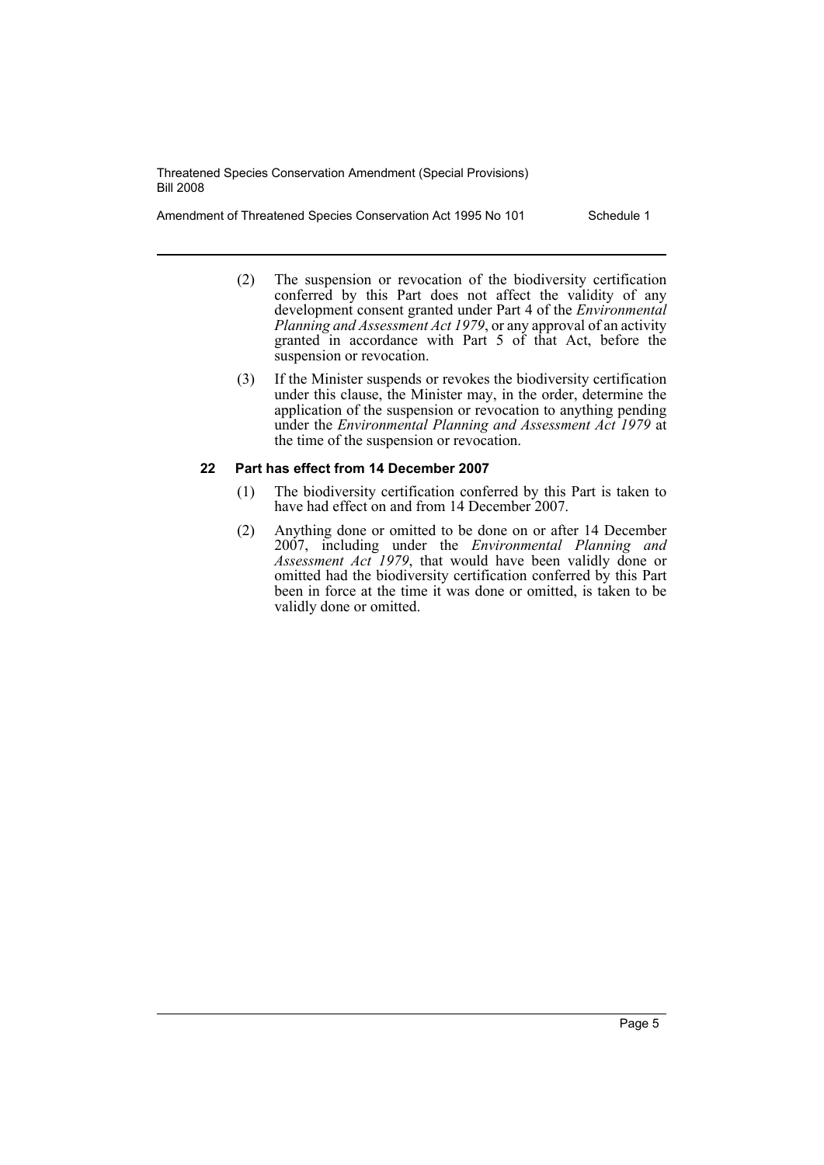Amendment of Threatened Species Conservation Act 1995 No 101 Schedule 1

- (2) The suspension or revocation of the biodiversity certification conferred by this Part does not affect the validity of any development consent granted under Part 4 of the *Environmental Planning and Assessment Act 1979*, or any approval of an activity granted in accordance with Part 5 of that Act, before the suspension or revocation.
- (3) If the Minister suspends or revokes the biodiversity certification under this clause, the Minister may, in the order, determine the application of the suspension or revocation to anything pending under the *Environmental Planning and Assessment Act 1979* at the time of the suspension or revocation.

### **22 Part has effect from 14 December 2007**

- (1) The biodiversity certification conferred by this Part is taken to have had effect on and from 14 December 2007.
- (2) Anything done or omitted to be done on or after 14 December 2007, including under the *Environmental Planning and Assessment Act 1979*, that would have been validly done or omitted had the biodiversity certification conferred by this Part been in force at the time it was done or omitted, is taken to be validly done or omitted.